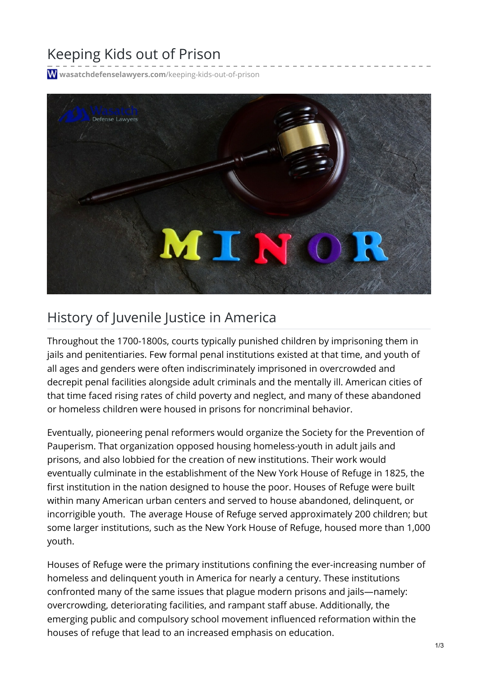## Keeping Kids out of Prison

**[wasatchdefenselawyers.com](https://wasatchdefenselawyers.com/keeping-kids-out-of-prison/)**/keeping-kids-out-of-prison



## History of Juvenile Justice in America

Throughout the 1700-1800s, courts typically punished children by imprisoning them in jails and penitentiaries. Few formal penal institutions existed at that time, and youth of all ages and genders were often indiscriminately imprisoned in overcrowded and decrepit penal facilities alongside adult criminals and the mentally ill. American cities of that time faced rising rates of child poverty and neglect, and many of these abandoned or homeless children were housed in prisons for noncriminal behavior.

Eventually, pioneering penal reformers would organize the Society for the Prevention of Pauperism. That organization opposed housing homeless-youth in adult jails and prisons, and also lobbied for the creation of new institutions. Their work would eventually culminate in the establishment of the New York House of Refuge in 1825, the first institution in the nation designed to house the poor. Houses of Refuge were built within many American urban centers and served to house abandoned, delinquent, or incorrigible youth. The average House of Refuge served approximately 200 children; but some larger institutions, such as the New York House of Refuge, housed more than 1,000 youth.

Houses of Refuge were the primary institutions confining the ever-increasing number of homeless and delinquent youth in America for nearly a century. These institutions confronted many of the same issues that plague modern prisons and jails—namely: overcrowding, deteriorating facilities, and rampant staff abuse. Additionally, the emerging public and compulsory school movement influenced reformation within the houses of refuge that lead to an increased emphasis on education.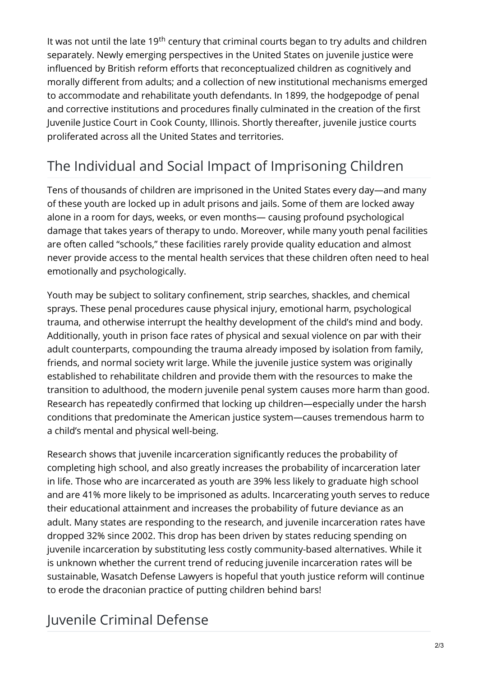It was not until the late 19<sup>th</sup> century that criminal courts began to try adults and children separately. Newly emerging perspectives in the United States on juvenile justice were influenced by British reform efforts that reconceptualized children as cognitively and morally different from adults; and a collection of new institutional mechanisms emerged to accommodate and rehabilitate youth defendants. In 1899, the hodgepodge of penal and corrective institutions and procedures finally culminated in the creation of the first Juvenile Justice Court in Cook County, Illinois. Shortly thereafter, juvenile justice courts proliferated across all the United States and territories.

## The Individual and Social Impact of Imprisoning Children

Tens of thousands of children are imprisoned in the United States every day—and many of these youth are locked up in adult prisons and jails. Some of them are locked away alone in a room for days, weeks, or even months— causing profound psychological damage that takes years of therapy to undo. Moreover, while many youth penal facilities are often called "schools," these facilities rarely provide quality education and almost never provide access to the mental health services that these children often need to heal emotionally and psychologically.

Youth may be subject to solitary confinement, strip searches, shackles, and chemical sprays. These penal procedures cause physical injury, emotional harm, psychological trauma, and otherwise interrupt the healthy development of the child's mind and body. Additionally, youth in prison face rates of physical and sexual violence on par with their adult counterparts, compounding the trauma already imposed by isolation from family, friends, and normal society writ large. While the juvenile justice system was originally established to rehabilitate children and provide them with the resources to make the transition to adulthood, the modern juvenile penal system causes more harm than good. Research has repeatedly confirmed that locking up children—especially under the harsh conditions that predominate the American justice system—causes tremendous harm to a child's mental and physical well-being.

Research shows that juvenile incarceration significantly reduces the probability of completing high school, and also greatly increases the probability of incarceration later in life. Those who are incarcerated as youth are 39% less likely to graduate high school and are 41% more likely to be imprisoned as adults. Incarcerating youth serves to reduce their educational attainment and increases the probability of future deviance as an adult. Many states are responding to the research, and juvenile incarceration rates have dropped 32% since 2002. This drop has been driven by states reducing spending on juvenile incarceration by substituting less costly community-based alternatives. While it is unknown whether the current trend of reducing juvenile incarceration rates will be sustainable, Wasatch Defense Lawyers is hopeful that youth justice reform will continue to erode the draconian practice of putting children behind bars!

## Juvenile Criminal Defense